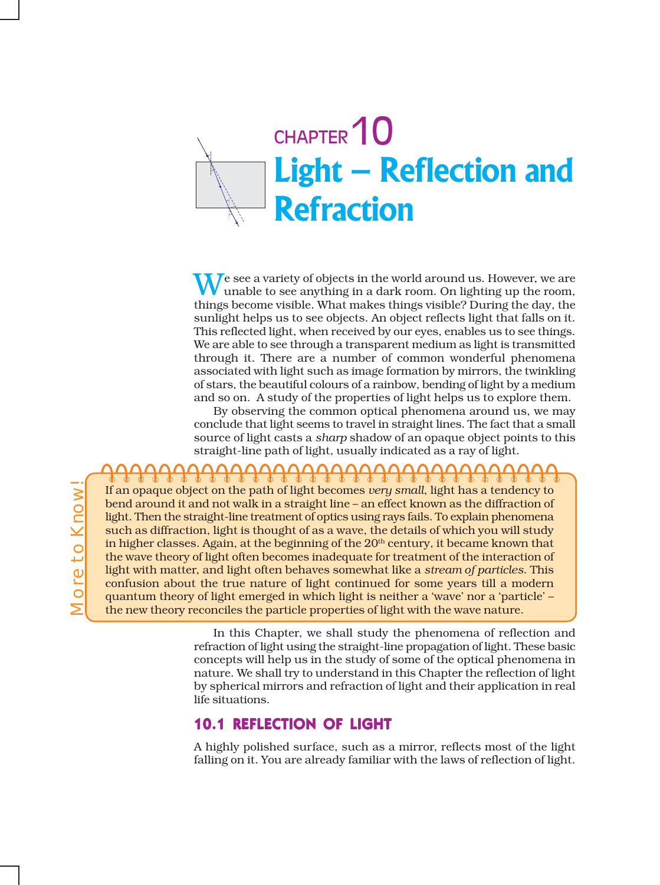

**N**  $\sqrt{ }$  e see a variety of objects in the world around us. However, we are unable to see anything in a dark room. On lighting up the room, things become visible. What makes things visible? During the day, the sunlight helps us to see objects. An object reflects light that falls on it. This reflected light, when received by our eyes, enables us to see things. We are able to see through a transparent medium as light is transmitted through it. There are a number of common wonderful phenomena associated with light such as image formation by mirrors, the twinkling of stars, the beautiful colours of a rainbow, bending of light by a medium and so on. A study of the properties of light helps us to explore them.

By observing the common optical phenomena around us, we may conclude that light seems to travel in straight lines. The fact that a small source of light casts a *sharp* shadow of an opaque object points to this straight-line path of light, usually indicated as a ray of light.

If an opaque object on the path of light becomes *very small*, light has a tendency to bend around it and not walk in a straight line – an effect known as the diffraction of light. Then the straight-line treatment of optics using rays fails. To explain phenomena such as diffraction, light is thought of as a wave, the details of which you will study in higher classes. Again, at the beginning of the  $20<sup>th</sup>$  century, it became known that the wave theory of light often becomes inadequate for treatment of the interaction of light with matter, and light often behaves somewhat like a *stream of particles*. This confusion about the true nature of light continued for some years till a modern quantum theory of light emerged in which light is neither a 'wave' nor a 'particle' – the new theory reconciles the particle properties of light with the wave nature.

> In this Chapter, we shall study the phenomena of reflection and refraction of light using the straight-line propagation of light. These basic concepts will help us in the study of some of the optical phenomena in nature. We shall try to understand in this Chapter the reflection of light by spherical mirrors and refraction of light and their application in real life situations.

### 10.1 REFLECTION OF LIGHT

A highly polished surface, such as a mirror, reflects most of the light falling on it. You are already familiar with the laws of reflection of light.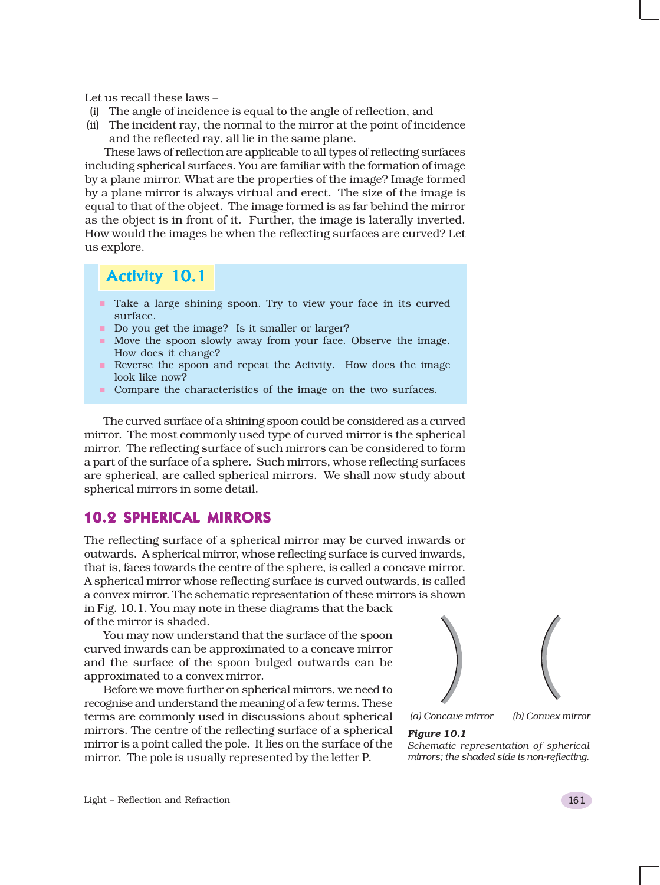Let us recall these laws –

- (i) The angle of incidence is equal to the angle of reflection, and
- (ii) The incident ray, the normal to the mirror at the point of incidence and the reflected ray, all lie in the same plane.

These laws of reflection are applicable to all types of reflecting surfaces including spherical surfaces. You are familiar with the formation of image by a plane mirror. What are the properties of the image? Image formed by a plane mirror is always virtual and erect. The size of the image is equal to that of the object. The image formed is as far behind the mirror as the object is in front of it. Further, the image is laterally inverted. How would the images be when the reflecting surfaces are curved? Let us explore.

### Activity 10.1

- Take a large shining spoon. Try to view your face in its curved surface.
- Do you get the image? Is it smaller or larger?
- Move the spoon slowly away from your face. Observe the image. How does it change?
- Reverse the spoon and repeat the Activity. How does the image look like now?
- **Compare the characteristics of the image on the two surfaces.**

The curved surface of a shining spoon could be considered as a curved mirror. The most commonly used type of curved mirror is the spherical mirror. The reflecting surface of such mirrors can be considered to form a part of the surface of a sphere. Such mirrors, whose reflecting surfaces are spherical, are called spherical mirrors. We shall now study about spherical mirrors in some detail.

### 10.2 SPHERICAL MIRRORS

The reflecting surface of a spherical mirror may be curved inwards or outwards. A spherical mirror, whose reflecting surface is curved inwards, that is, faces towards the centre of the sphere, is called a concave mirror. A spherical mirror whose reflecting surface is curved outwards, is called a convex mirror. The schematic representation of these mirrors is shown in Fig. 10.1. You may note in these diagrams that the back of the mirror is shaded.

You may now understand that the surface of the spoon curved inwards can be approximated to a concave mirror and the surface of the spoon bulged outwards can be approximated to a convex mirror.

Before we move further on spherical mirrors, we need to recognise and understand the meaning of a few terms. These terms are commonly used in discussions about spherical mirrors. The centre of the reflecting surface of a spherical mirror is a point called the pole. It lies on the surface of the mirror. The pole is usually represented by the letter P.



*(a) Concave mirror (b) Convex mirror*

#### *Figure 10.1*

*Schematic representation of spherical mirrors; the shaded side is non-reflecting.*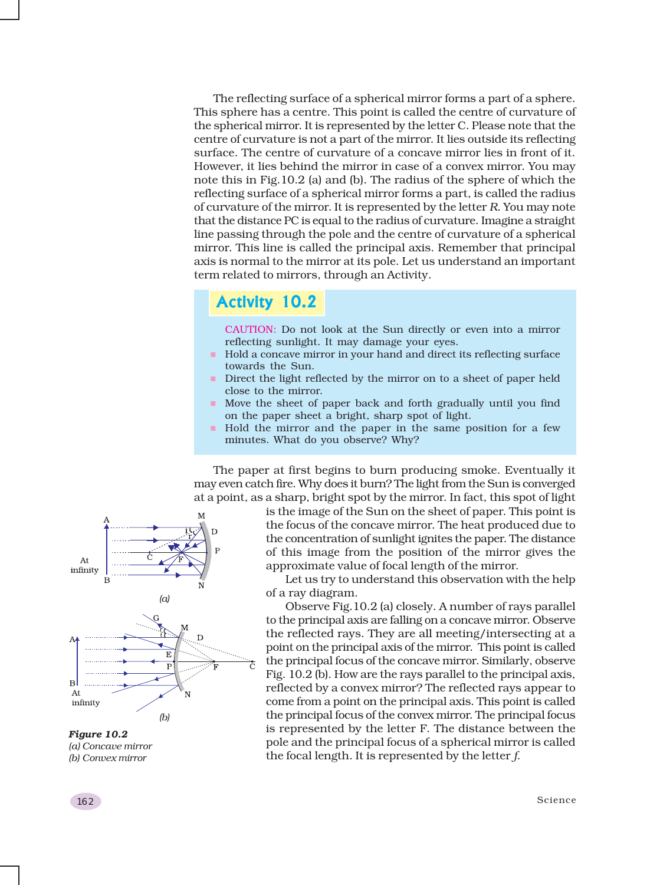The reflecting surface of a spherical mirror forms a part of a sphere. This sphere has a centre. This point is called the centre of curvature of the spherical mirror. It is represented by the letter C. Please note that the centre of curvature is not a part of the mirror. It lies outside its reflecting surface. The centre of curvature of a concave mirror lies in front of it. However, it lies behind the mirror in case of a convex mirror. You may note this in Fig.10.2 (a) and (b). The radius of the sphere of which the reflecting surface of a spherical mirror forms a part, is called the radius of curvature of the mirror. It is represented by the letter *R*. You may note that the distance PC is equal to the radius of curvature. Imagine a straight line passing through the pole and the centre of curvature of a spherical mirror. This line is called the principal axis. Remember that principal axis is normal to the mirror at its pole. Let us understand an important term related to mirrors, through an Activity.

### Activity 10.2

CAUTION: Do not look at the Sun directly or even into a mirror reflecting sunlight. It may damage your eyes.

- Hold a concave mirror in your hand and direct its reflecting surface towards the Sun.
- Direct the light reflected by the mirror on to a sheet of paper held close to the mirror.
- Move the sheet of paper back and forth gradually until you find on the paper sheet a bright, sharp spot of light.
- Hold the mirror and the paper in the same position for a few minutes. What do you observe? Why?

The paper at first begins to burn producing smoke. Eventually it may even catch fire. Why does it burn? The light from the Sun is converged at a point, as a sharp, bright spot by the mirror. In fact, this spot of light

> is the image of the Sun on the sheet of paper. This point is the focus of the concave mirror. The heat produced due to the concentration of sunlight ignites the paper. The distance of this image from the position of the mirror gives the approximate value of focal length of the mirror.

> Let us try to understand this observation with the help of a ray diagram.

> Observe Fig.10.2 (a) closely. A number of rays parallel to the principal axis are falling on a concave mirror. Observe the reflected rays. They are all meeting/intersecting at a point on the principal axis of the mirror. This point is called the principal focus of the concave mirror. Similarly, observe Fig. 10.2 (b). How are the rays parallel to the principal axis, reflected by a convex mirror? The reflected rays appear to come from a point on the principal axis. This point is called the principal focus of the convex mirror. The principal focus is represented by the letter F. The distance between the pole and the principal focus of a spherical mirror is called the focal length. It is represented by the letter *f*.



*Figure 10.2 (a) Concave mirror (b) Convex mirror*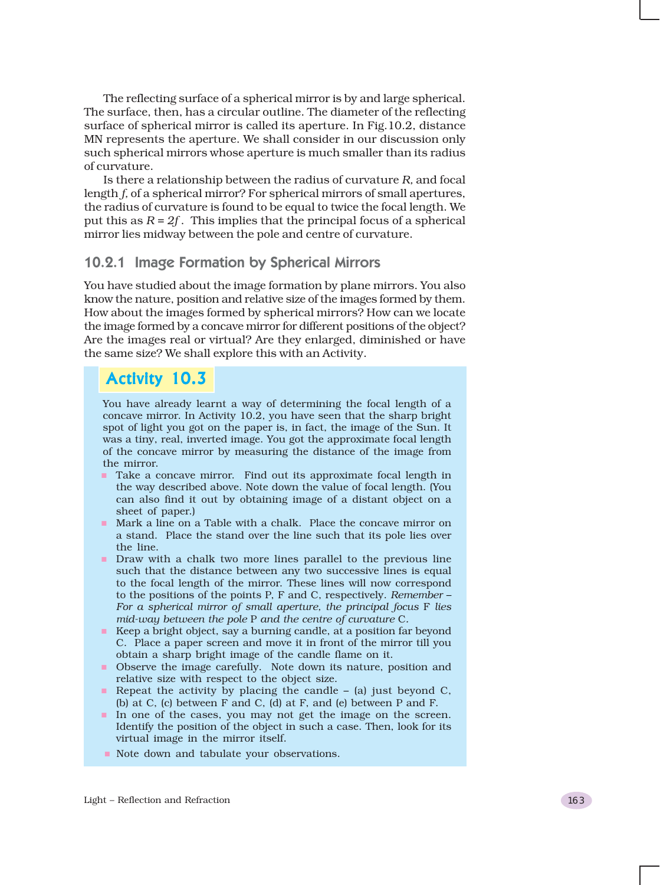The reflecting surface of a spherical mirror is by and large spherical. The surface, then, has a circular outline. The diameter of the reflecting surface of spherical mirror is called its aperture. In Fig.10.2, distance MN represents the aperture. We shall consider in our discussion only such spherical mirrors whose aperture is much smaller than its radius of curvature.

Is there a relationship between the radius of curvature *R,* and focal length *f,* of a spherical mirror? For spherical mirrors of small apertures, the radius of curvature is found to be equal to twice the focal length. We put this as *R = 2f* . This implies that the principal focus of a spherical mirror lies midway between the pole and centre of curvature.

### 10.2.1 Image Formation by Spherical Mirrors

You have studied about the image formation by plane mirrors. You also know the nature, position and relative size of the images formed by them. How about the images formed by spherical mirrors? How can we locate the image formed by a concave mirror for different positions of the object? Are the images real or virtual? Are they enlarged, diminished or have the same size? We shall explore this with an Activity.

### Activity 10.3

You have already learnt a way of determining the focal length of a concave mirror. In Activity 10.2, you have seen that the sharp bright spot of light you got on the paper is, in fact, the image of the Sun. It was a tiny, real, inverted image. You got the approximate focal length of the concave mirror by measuring the distance of the image from the mirror.

- **Take a concave mirror.** Find out its approximate focal length in the way described above. Note down the value of focal length. (You can also find it out by obtaining image of a distant object on a sheet of paper.)
- Mark a line on a Table with a chalk. Place the concave mirror on a stand. Place the stand over the line such that its pole lies over the line.
- **Draw with a chalk two more lines parallel to the previous line** such that the distance between any two successive lines is equal to the focal length of the mirror. These lines will now correspond to the positions of the points P, F and C, respectively. *Remember* – *For a spherical mirror of small aperture, the principal focus* F *lies mid-way between the pole* P *and the centre of curvature* C*.*
- Keep a bright object, say a burning candle, at a position far beyond C. Place a paper screen and move it in front of the mirror till you obtain a sharp bright image of the candle flame on it.
- Observe the image carefully. Note down its nature, position and relative size with respect to the object size.
- Repeat the activity by placing the candle  $-$  (a) just beyond C, (b) at C, (c) between F and C, (d) at F, and (e) between P and F.
- In one of the cases, you may not get the image on the screen. Identify the position of the object in such a case. Then, look for its virtual image in the mirror itself.
- Note down and tabulate your observations.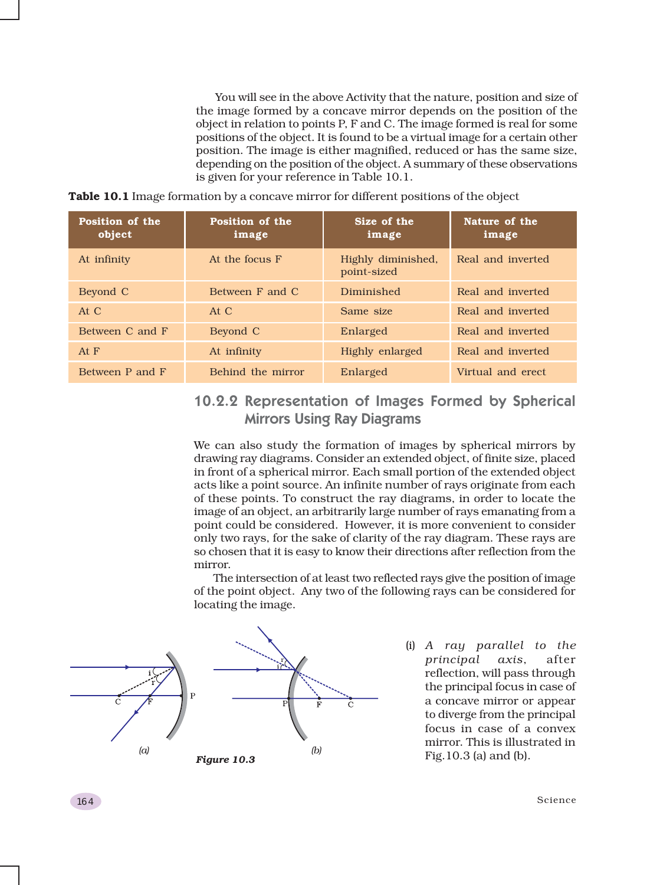You will see in the above Activity that the nature, position and size of the image formed by a concave mirror depends on the position of the object in relation to points P, F and C. The image formed is real for some positions of the object. It is found to be a virtual image for a certain other position. The image is either magnified, reduced or has the same size, depending on the position of the object. A summary of these observations is given for your reference in Table 10.1.

**Table 10.1** Image formation by a concave mirror for different positions of the object

| Position of the<br>object | Position of the<br>image | Size of the<br>image              | Nature of the<br>image |
|---------------------------|--------------------------|-----------------------------------|------------------------|
| At infinity               | At the focus F           | Highly diminished,<br>point-sized | Real and inverted      |
| Beyond C                  | Between F and C          | Diminished                        | Real and inverted      |
| At $C$                    | At C                     | Same size                         | Real and inverted      |
| Between C and F           | Beyond C                 | Enlarged                          | Real and inverted      |
| At $F$                    | At infinity              | Highly enlarged                   | Real and inverted      |
| Between P and F           | Behind the mirror        | Enlarged                          | Virtual and erect      |

### 10.2.2 Representation of Images Formed by Spherical Mirrors Using Ray Diagrams

We can also study the formation of images by spherical mirrors by drawing ray diagrams. Consider an extended object, of finite size, placed in front of a spherical mirror. Each small portion of the extended object acts like a point source. An infinite number of rays originate from each of these points. To construct the ray diagrams, in order to locate the image of an object, an arbitrarily large number of rays emanating from a point could be considered. However, it is more convenient to consider only two rays, for the sake of clarity of the ray diagram. These rays are so chosen that it is easy to know their directions after reflection from the mirror.

The intersection of at least two reflected rays give the position of image of the point object. Any two of the following rays can be considered for locating the image.



(i) *A ray parallel to the principal axis*, after reflection, will pass through the principal focus in case of a concave mirror or appear to diverge from the principal focus in case of a convex mirror. This is illustrated in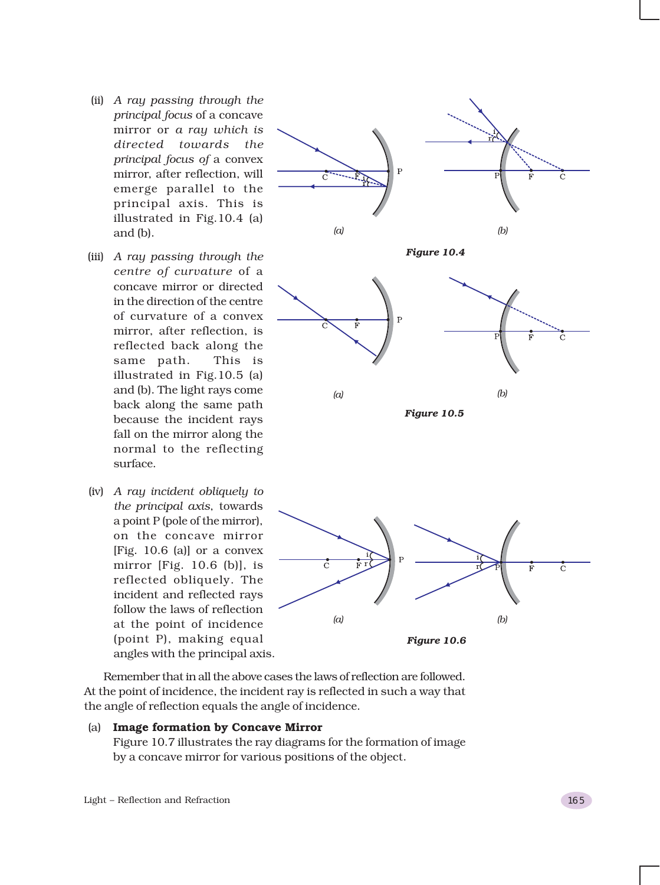- (ii) *A ray passing through the principal focus* of a concave mirror or *a ray which is directed towards the principal focus of* a convex mirror, after reflection, will emerge parallel to the principal axis. This is illustrated in Fig.10.4 (a) and (b).
- (iii) *A ray passing through the centre of curvature* of a concave mirror or directed in the direction of the centre of curvature of a convex mirror, after reflection, is reflected back along the same path. This is illustrated in Fig.10.5 (a) and (b). The light rays come back along the same path because the incident rays fall on the mirror along the normal to the reflecting surface.
- (iv) *A ray incident obliquely to the principal axis*, towards a point P (pole of the mirror), on the concave mirror [Fig. 10.6 (a)] or a convex mirror [Fig. 10.6 (b)], is reflected obliquely. The incident and reflected rays follow the laws of reflection at the point of incidence (point P), making equal angles with the principal axis.



Remember that in all the above cases the laws of reflection are followed. At the point of incidence, the incident ray is reflected in such a way that the angle of reflection equals the angle of incidence.

#### (a) **Image formation by Concave Mirror**

Figure 10.7 illustrates the ray diagrams for the formation of image by a concave mirror for various positions of the object.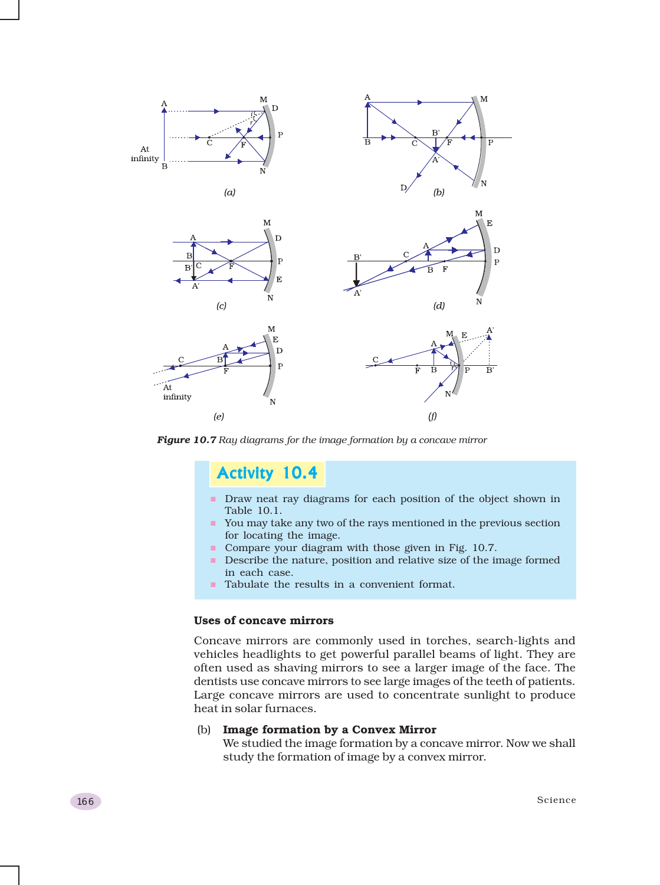

*Figure 10.7 Ray diagrams for the image formation by a concave mirror*

### Activity 10.4

- Draw neat ray diagrams for each position of the object shown in Table 10.1.
- You may take any two of the rays mentioned in the previous section for locating the image.
- **Compare your diagram with those given in Fig. 10.7.**
- **Describe the nature, position and relative size of the image formed** in each case.
- Tabulate the results in a convenient format.

### **Uses of concave mirrors**

Concave mirrors are commonly used in torches, search-lights and vehicles headlights to get powerful parallel beams of light. They are often used as shaving mirrors to see a larger image of the face. The dentists use concave mirrors to see large images of the teeth of patients. Large concave mirrors are used to concentrate sunlight to produce heat in solar furnaces.

### (b) **Image formation by a Convex Mirror**

We studied the image formation by a concave mirror. Now we shall study the formation of image by a convex mirror.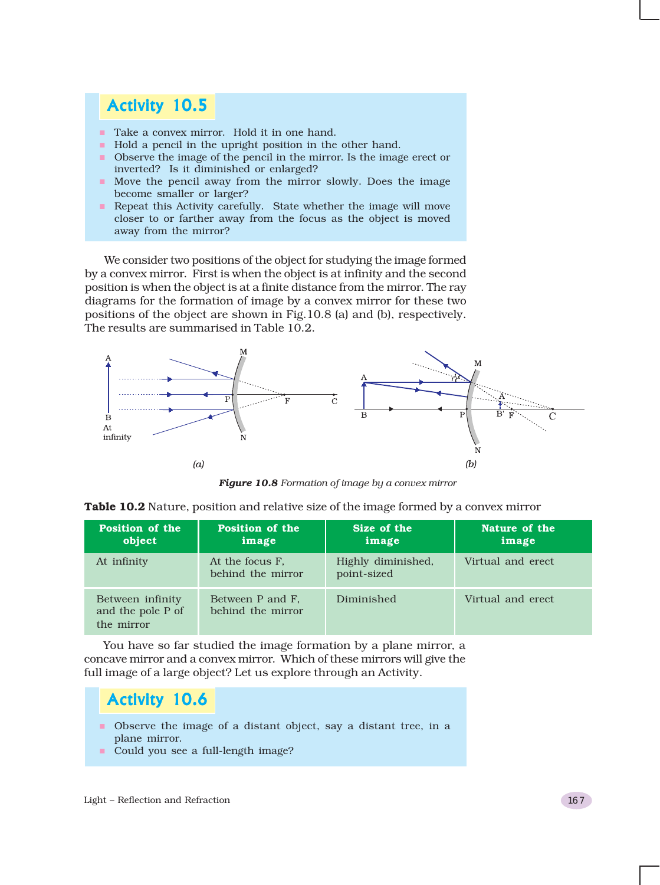## Activity 10.5

- Take a convex mirror. Hold it in one hand.
- Hold a pencil in the upright position in the other hand.
- Observe the image of the pencil in the mirror. Is the image erect or inverted? Is it diminished or enlarged?
- Move the pencil away from the mirror slowly. Does the image become smaller or larger?
- Repeat this Activity carefully. State whether the image will move closer to or farther away from the focus as the object is moved away from the mirror?

We consider two positions of the object for studying the image formed by a convex mirror. First is when the object is at infinity and the second position is when the object is at a finite distance from the mirror. The ray diagrams for the formation of image by a convex mirror for these two positions of the object are shown in Fig.10.8 (a) and (b), respectively. The results are summarised in Table 10.2.



*Figure 10.8 Formation of image by a convex mirror*

| Position of the<br>object                           | Position of the<br>image              | Size of the<br>image              | Nature of the<br>image |
|-----------------------------------------------------|---------------------------------------|-----------------------------------|------------------------|
| At infinity                                         | At the focus F.<br>behind the mirror  | Highly diminished,<br>point-sized | Virtual and erect      |
| Between infinity<br>and the pole P of<br>the mirror | Between P and F.<br>behind the mirror | Diminished                        | Virtual and erect      |

**Table 10.2** Nature, position and relative size of the image formed by a convex mirror

You have so far studied the image formation by a plane mirror, a concave mirror and a convex mirror. Which of these mirrors will give the full image of a large object? Let us explore through an Activity.

### Activity 10.6

- Observe the image of a distant object, say a distant tree, in a plane mirror.
- Could you see a full-length image?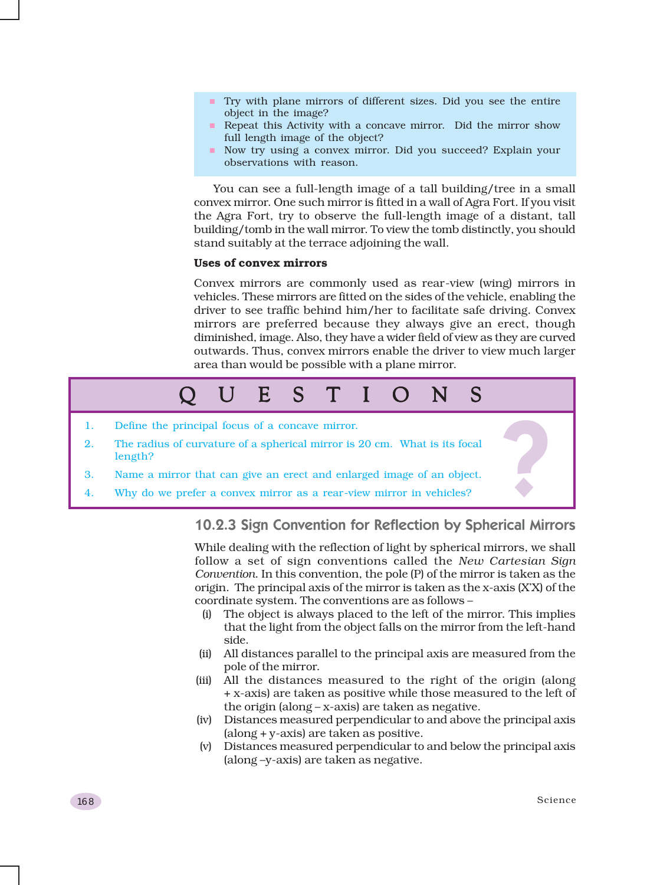- Try with plane mirrors of different sizes. Did you see the entire object in the image?
- Repeat this Activity with a concave mirror. Did the mirror show full length image of the object?
- Now try using a convex mirror. Did you succeed? Explain your observations with reason.

You can see a full-length image of a tall building/tree in a small convex mirror. One such mirror is fitted in a wall of Agra Fort. If you visit the Agra Fort, try to observe the full-length image of a distant, tall building/tomb in the wall mirror. To view the tomb distinctly, you should stand suitably at the terrace adjoining the wall.

#### **Uses of convex mirrors**

Convex mirrors are commonly used as rear-view (wing) mirrors in vehicles. These mirrors are fitted on the sides of the vehicle, enabling the driver to see traffic behind him/her to facilitate safe driving. Convex mirrors are preferred because they always give an erect, though diminished, image. Also, they have a wider field of view as they are curved outwards. Thus, convex mirrors enable the driver to view much larger area than would be possible with a plane mirror.



### 10.2.3 Sign Convention for Reflection by Spherical Mirrors

While dealing with the reflection of light by spherical mirrors, we shall follow a set of sign conventions called the *New Cartesian Sign Convention*. In this convention, the pole (P) of the mirror is taken as the origin. The principal axis of the mirror is taken as the x-axis (X'X) of the coordinate system. The conventions are as follows –

- (i) The object is always placed to the left of the mirror. This implies that the light from the object falls on the mirror from the left-hand side.
- (ii) All distances parallel to the principal axis are measured from the pole of the mirror.
- (iii) All the distances measured to the right of the origin (along + x-axis) are taken as positive while those measured to the left of the origin (along – x-axis) are taken as negative.
- (iv) Distances measured perpendicular to and above the principal axis (along + y-axis) are taken as positive.
- (v) Distances measured perpendicular to and below the principal axis (along –y-axis) are taken as negative.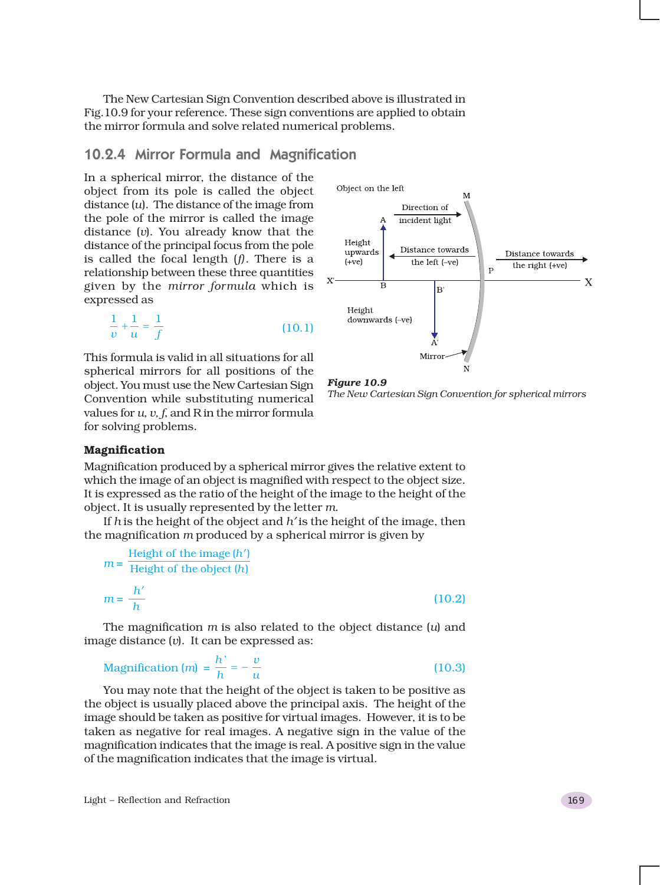The New Cartesian Sign Convention described above is illustrated in Fig.10.9 for your reference. These sign conventions are applied to obtain the mirror formula and solve related numerical problems.

### 10.2.4 Mirror Formula and Magnification

In a spherical mirror, the distance of the object from its pole is called the object distance (*u*). The distance of the image from the pole of the mirror is called the image distance (*v*). You already know that the distance of the principal focus from the pole is called the focal length (*f)*. There is a relationship between these three quantities given by the *mirror formula* which is expressed as

$$
\frac{1}{v} + \frac{1}{u} = \frac{1}{f}
$$
 (10.1)

This formula is valid in all situations for all spherical mirrors for all positions of the object. You must use the New Cartesian Sign Convention while substituting numerical values for *u, v, f*, and R in the mirror formula for solving problems.



*Figure 10.9 The New Cartesian Sign Convention for spherical mirrors*

#### **Magnification**

Magnification produced by a spherical mirror gives the relative extent to which the image of an object is magnified with respect to the object size. It is expressed as the ratio of the height of the image to the height of the object. It is usually represented by the letter *m*.

If *h* is the height of the object and *h*′ is the height of the image, then the magnification *m* produced by a spherical mirror is given by

$$
m = \frac{\text{Height of the image } (h')}{\text{Height of the object } (h)}
$$

$$
m = \frac{h'}{h}
$$
(10.2)

The magnification *m* is also related to the object distance (*u*) and image distance (*v*). It can be expressed as:

$$
\text{Magnification (m)} = \frac{h'}{h} = -\frac{v}{u} \tag{10.3}
$$

You may note that the height of the object is taken to be positive as the object is usually placed above the principal axis. The height of the image should be taken as positive for virtual images. However, it is to be taken as negative for real images. A negative sign in the value of the magnification indicates that the image is real. A positive sign in the value of the magnification indicates that the image is virtual.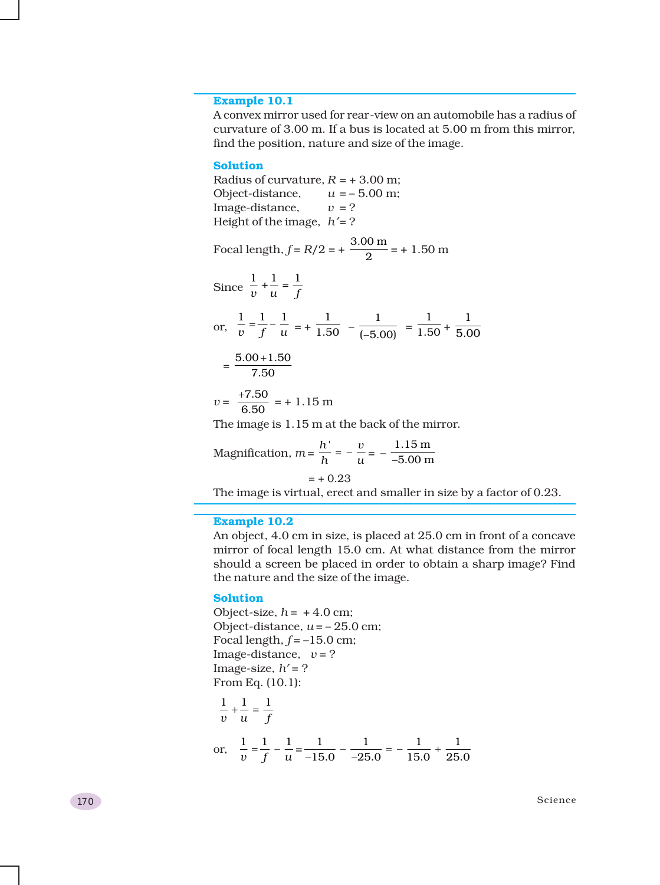#### **Example 10.1**

A convex mirror used for rear-view on an automobile has a radius of curvature of 3.00 m. If a bus is located at 5.00 m from this mirror, find the position, nature and size of the image.

#### **Solution**

Radius of curvature,  $R = +3.00$  m; Object-distance,  $u = -5.00$  m; Image-distance,  $v = ?$ Height of the image, *h*′= ? Focal length,  $f = R/2 = +\frac{3.00 \text{ m}}{2} = +1.50 \text{ m}$ Since  $\frac{1}{v} + \frac{1}{u} = \frac{1}{f}$ or,  $\frac{1}{v} = \frac{1}{f} - \frac{1}{u} = + \frac{1}{1.50} - \frac{1}{(-5.00)} = \frac{1}{1.50} +$ 1 5.00  $=\frac{5.00+1.50}{7.50}$ +  $v = \frac{+7.50}{6.50} = +1.15 \text{ m}$ 

The image is 1.15 m at the back of the mirror.

Magnification, 
$$
m = \frac{h'}{h} = -\frac{v}{u} = -\frac{1.15 \text{ m}}{-5.00 \text{ m}}
$$
  
= + 0.23

The image is virtual, erect and smaller in size by a factor of 0.23.

#### **Example 10.2**

An object, 4.0 cm in size, is placed at 25.0 cm in front of a concave mirror of focal length 15.0 cm. At what distance from the mirror should a screen be placed in order to obtain a sharp image? Find the nature and the size of the image.

#### **Solution**

Object-size,  $h = +4.0$  cm; Object-distance,  $u = -25.0$  cm; Focal length,  $f = -15.0$  cm; Image-distance,  $v = ?$ Image-size,  $h' = ?$ From Eq. (10.1):

$$
\frac{1}{v} + \frac{1}{u} = \frac{1}{f}
$$
\nor, 
$$
\frac{1}{v} = \frac{1}{f} - \frac{1}{u} = \frac{1}{-15.0} - \frac{1}{-25.0} = -\frac{1}{15.0} + \frac{1}{25.0}
$$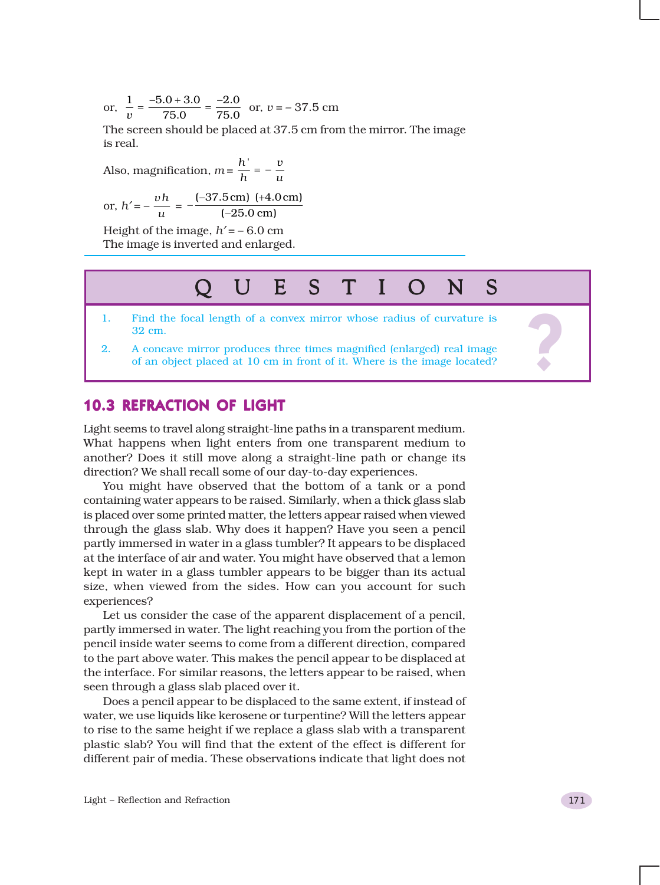or,  $\frac{1}{n} = \frac{-5.0 + 3.0}{75.0} = \frac{-2.0}{75.0}$  $\frac{1}{v} = \frac{-5.0 + 3.0}{75.0} = \frac{-2.0}{75.0}$  or,  $v = -37.5$  cm

The screen should be placed at 37.5 cm from the mirror. The image is real.

Also, magnification,  $m = \frac{h'}{h} = -\frac{v}{u}$ 

or, 
$$
h' = -\frac{vh}{u} = -\frac{(-37.5 \text{ cm}) (+4.0 \text{ cm})}{(-25.0 \text{ cm})}
$$

Height of the image,  $h' = -6.0$  cm The image is inverted and enlarged.

# QUESTIONS QUESTIONS

- 32 cm.
- 2. Find the focal length of a convex mirror whose radius of curvature is 32 cm.<br>
2. A concave mirror produces three times magnified (enlarged) real image of an object placed at 10 cm in front of it. Where is the image loca 2. A concave mirror produces three times magnified (enlarged) real image of an object placed at 10 cm in front of it. Where is the image located?

### 10.3 REFRACTION OF LIGHT

Light seems to travel along straight-line paths in a transparent medium. What happens when light enters from one transparent medium to another? Does it still move along a straight-line path or change its direction? We shall recall some of our day-to-day experiences.

You might have observed that the bottom of a tank or a pond containing water appears to be raised. Similarly, when a thick glass slab is placed over some printed matter, the letters appear raised when viewed through the glass slab. Why does it happen? Have you seen a pencil partly immersed in water in a glass tumbler? It appears to be displaced at the interface of air and water. You might have observed that a lemon kept in water in a glass tumbler appears to be bigger than its actual size, when viewed from the sides. How can you account for such experiences?

Let us consider the case of the apparent displacement of a pencil, partly immersed in water. The light reaching you from the portion of the pencil inside water seems to come from a different direction, compared to the part above water. This makes the pencil appear to be displaced at the interface. For similar reasons, the letters appear to be raised, when seen through a glass slab placed over it.

Does a pencil appear to be displaced to the same extent, if instead of water, we use liquids like kerosene or turpentine? Will the letters appear to rise to the same height if we replace a glass slab with a transparent plastic slab? You will find that the extent of the effect is different for different pair of media. These observations indicate that light does not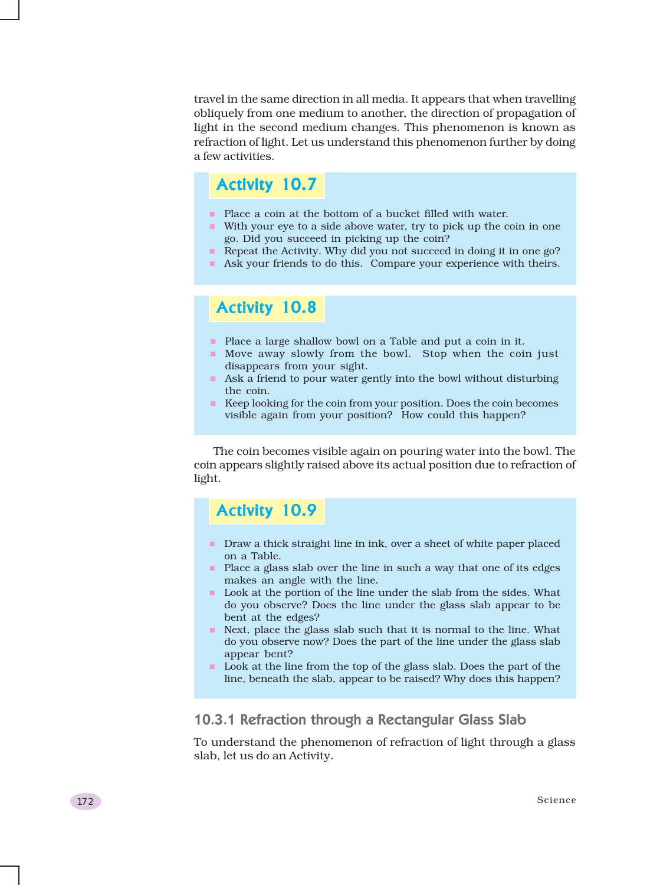travel in the same direction in all media. It appears that when travelling obliquely from one medium to another, the direction of propagation of light in the second medium changes. This phenomenon is known as refraction of light. Let us understand this phenomenon further by doing a few activities.

### Activity 10.7

- **Place a coin at the bottom of a bucket filled with water.**
- With your eye to a side above water, try to pick up the coin in one go. Did you succeed in picking up the coin?
- Repeat the Activity. Why did you not succeed in doing it in one go?
- Ask your friends to do this. Compare your experience with theirs.

### Activity 10.8

- **Place a large shallow bowl on a Table and put a coin in it.**
- Move away slowly from the bowl. Stop when the coin just disappears from your sight.
- Ask a friend to pour water gently into the bowl without disturbing the coin.
- Keep looking for the coin from your position. Does the coin becomes visible again from your position? How could this happen?

The coin becomes visible again on pouring water into the bowl. The coin appears slightly raised above its actual position due to refraction of light.

### Activity 10.9

- Draw a thick straight line in ink, over a sheet of white paper placed on a Table.
- Place a glass slab over the line in such a way that one of its edges makes an angle with the line.
- $\blacksquare$  Look at the portion of the line under the slab from the sides. What do you observe? Does the line under the glass slab appear to be bent at the edges?
- Next, place the glass slab such that it is normal to the line. What do you observe now? Does the part of the line under the glass slab appear bent?
- **Look** at the line from the top of the glass slab. Does the part of the line, beneath the slab, appear to be raised? Why does this happen?

### 10.3.1 Refraction through a Rectangular Glass Slab

To understand the phenomenon of refraction of light through a glass slab, let us do an Activity.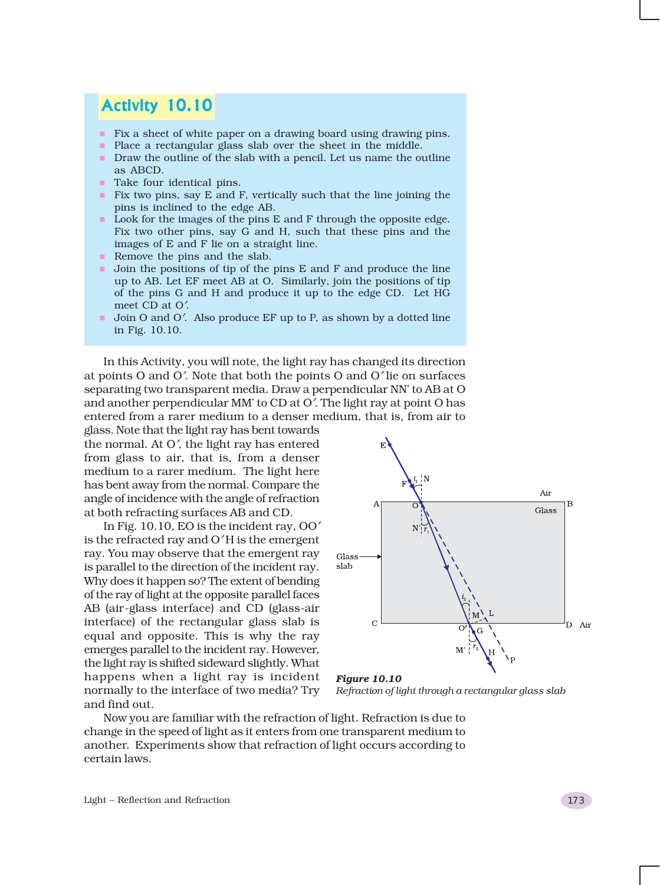### Activity 10.10

- **Fix a sheet of white paper on a drawing board using drawing pins.**
- **Place a rectangular glass slab over the sheet in the middle.**
- Draw the outline of the slab with a pencil. Let us name the outline as ABCD.
- **Take four identical pins.**
- $\blacksquare$  Fix two pins, say E and F, vertically such that the line joining the pins is inclined to the edge AB.
- Look for the images of the pins E and F through the opposite edge. Fix two other pins, say G and H, such that these pins and the images of E and F lie on a straight line.
- Remove the pins and the slab.
- I Join the positions of tip of the pins E and F and produce the line up to AB. Let EF meet AB at O. Similarly, join the positions of tip of the pins G and H and produce it up to the edge CD. Let HG meet CD at O′.
- Join O and O'. Also produce EF up to P, as shown by a dotted line in Fig. 10.10.

In this Activity, you will note, the light ray has changed its direction at points O and O′. Note that both the points O and O′ lie on surfaces separating two transparent media. Draw a perpendicular NN' to AB at O and another perpendicular MM' to CD at O′. The light ray at point O has entered from a rarer medium to a denser medium, that is, from air to

glass. Note that the light ray has bent towards the normal. At O′, the light ray has entered from glass to air, that is, from a denser medium to a rarer medium. The light here has bent away from the normal. Compare the angle of incidence with the angle of refraction at both refracting surfaces AB and CD.

In Fig. 10.10, EO is the incident ray, OO′ is the refracted ray and O′ H is the emergent ray. You may observe that the emergent ray is parallel to the direction of the incident ray. Why does it happen so? The extent of bending of the ray of light at the opposite parallel faces AB (air-glass interface) and CD (glass-air interface) of the rectangular glass slab is equal and opposite. This is why the ray emerges parallel to the incident ray. However, the light ray is shifted sideward slightly. What happens when a light ray is incident normally to the interface of two media? Try and find out.



*Figure 10.10 Refraction of light through a rectangular glass slab*

Now you are familiar with the refraction of light. Refraction is due to change in the speed of light as it enters from one transparent medium to another. Experiments show that refraction of light occurs according to certain laws.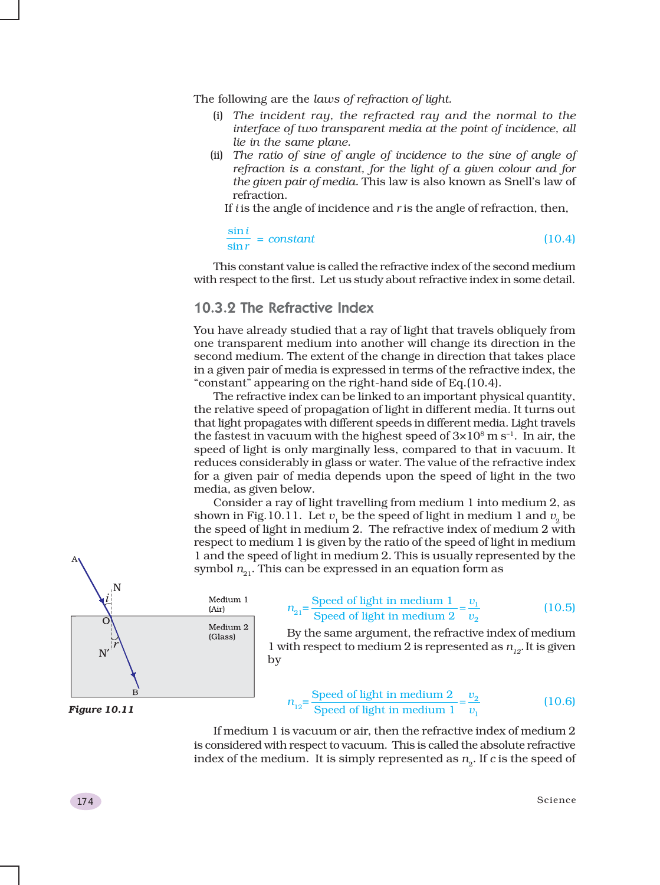The following are the *laws of refraction of light.*

- (i) *The incident ray, the refracted ray and the normal to the interface of two transparent media at the point of incidence, all lie in the same plane.*
- (ii) *The ratio of sine of angle of incidence to the sine of angle of refraction is a constant, for the light of a given colour and for the given pair of media.* This law is also known as Snell's law of refraction.

If *i* is the angle of incidence and *r* is the angle of refraction, then,

sin sin *i*  $\frac{1}{r}$  = *constant* (10.4)

This constant value is called the refractive index of the second medium with respect to the first. Let us study about refractive index in some detail.

### 10.3.2 The Refractive Index

You have already studied that a ray of light that travels obliquely from one transparent medium into another will change its direction in the second medium. The extent of the change in direction that takes place in a given pair of media is expressed in terms of the refractive index, the "constant" appearing on the right-hand side of Eq.(10.4).

The refractive index can be linked to an important physical quantity, the relative speed of propagation of light in different media. It turns out that light propagates with different speeds in different media. Light travels the fastest in vacuum with the highest speed of  $3\times10^8$  m s<sup>-1</sup>. In air, the speed of light is only marginally less, compared to that in vacuum. It reduces considerably in glass or water. The value of the refractive index for a given pair of media depends upon the speed of light in the two media, as given below.

Consider a ray of light travelling from medium 1 into medium 2, as shown in Fig.10.11. Let  $v_1$  be the speed of light in medium 1 and  $v_2$  be the speed of light in medium 2. The refractive index of medium 2 with respect to medium 1 is given by the ratio of the speed of light in medium 1 and the speed of light in medium 2. This is usually represented by the symbol  $n_{21}$ . This can be expressed in an equation form as



*Figure 10.11*

$$
n_{21} = \frac{\text{Speed of light in medium 1}}{\text{Speed of light in medium 2}} = \frac{v_1}{v_2}
$$
 (10.5)

By the same argument, the refractive index of medium 1 with respect to medium 2 is represented as  $n_{12}$ . It is given by

$$
n_{12} = \frac{\text{Speed of light in medium 2}}{\text{Speed of light in medium 1}} = \frac{v_2}{v_1}
$$
 (10.6)

If medium 1 is vacuum or air, then the refractive index of medium 2 is considered with respect to vacuum. This is called the absolute refractive index of the medium. It is simply represented as  $n<sub>2</sub>$ . If *c* is the speed of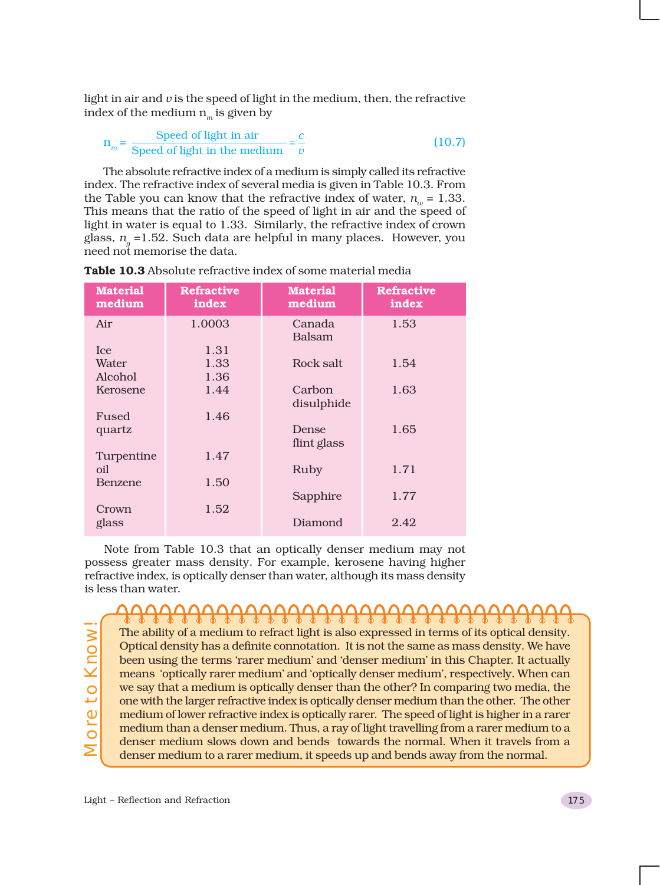light in air and *v* is the speed of light in the medium, then, the refractive index of the medium  $n_m$  is given by

$$
n_m = \frac{\text{Speed of light in air}}{\text{Speed of light in the medium}} = \frac{c}{v}
$$
 (10.7)

The absolute refractive index of a medium is simply called its refractive index. The refractive index of several media is given in Table 10.3. From the Table you can know that the refractive index of water,  $n_{\mu} = 1.33$ . This means that the ratio of the speed of light in air and the speed of light in water is equal to 1.33. Similarly, the refractive index of crown glass, *ng* =1.52. Such data are helpful in many places. However, you need not memorise the data.

| <b>Material</b><br>medium | <b>Refractive</b><br>index | <b>Material</b><br>medium | <b>Refractive</b><br>index |
|---------------------------|----------------------------|---------------------------|----------------------------|
| Air                       | 1.0003                     | Canada                    | 1.53                       |
|                           |                            | <b>Balsam</b>             |                            |
| Ice.                      | 1.31                       |                           |                            |
| Water                     | 1.33                       | Rock salt                 | 1.54                       |
| Alcohol                   | 1.36                       |                           |                            |
| Kerosene                  | 1.44                       | Carbon                    | 1.63                       |
|                           |                            | disulphide                |                            |
| Fused                     | 1.46                       |                           |                            |
| quartz                    |                            | Dense                     | 1.65                       |
|                           |                            | flint glass               |                            |
| Turpentine                | 1.47                       |                           |                            |
| oil                       |                            | Ruby                      | 1.71                       |
| Benzene                   | 1.50                       |                           |                            |
|                           |                            | Sapphire                  | 1.77                       |
| Crown                     | 1.52                       |                           |                            |
| glass                     |                            | Diamond                   | 2.42                       |
|                           |                            |                           |                            |

**Table 10.3** Absolute refractive index of some material media

Note from Table 10.3 that an optically denser medium may not possess greater mass density. For example, kerosene having higher refractive index, is optically denser than water, although its mass density is less than water.

More to Know!**Nore to Know** 

### <del>ŊŊŊŊŊŊŊŊŊŊŊŊŊŊŊŊŊŊŊŊ</del> The ability of a medium to refract light is also expressed in terms of its optical density. Optical density has a definite connotation. It is not the same as mass density. We have been using the terms 'rarer medium' and 'denser medium' in this Chapter. It actually means 'optically rarer medium' and 'optically denser medium', respectively. When can we say that a medium is optically denser than the other? In comparing two media, the one with the larger refractive index is optically denser medium than the other. The other medium of lower refractive index is optically rarer. The speed of light is higher in a rarer medium than a denser medium. Thus, a ray of light travelling from a rarer medium to a

denser medium slows down and bends towards the normal. When it travels from a denser medium to a rarer medium, it speeds up and bends away from the normal.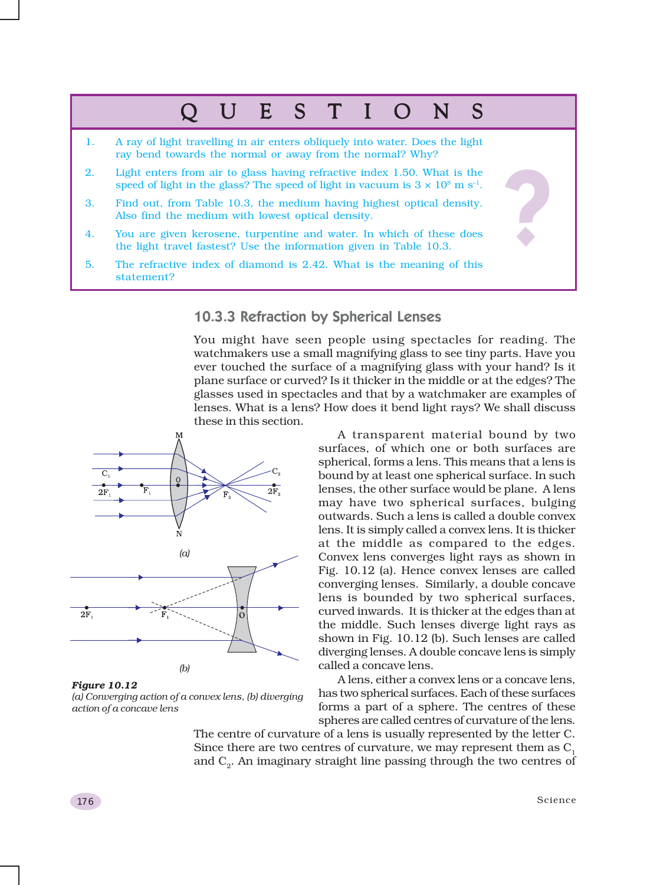# QUESTIONS QUESTIONS

- 1. A ray of light travelling in air enters obliquely into water. Does the light ray bend towards the normal or away from the normal? Why?
- 2. Light enters from air to glass having refractive index 1.50. What is the speed of light in the glass? The speed of light in vacuum is  $3 \times 10^8$  m s<sup>-1</sup>.
- 3. Find out, from Table 10.3, the medium having highest optical density. Also find the medium with lowest optical density.
- 4. You are given kerosene, turpentine and water. In which of these does the light travel fastest? Use the information given in Table 10.3.
- 5. The refractive index of diamond is 2.42. What is the meaning of this statement?

### 10.3.3 Refraction by Spherical Lenses

You might have seen people using spectacles for reading. The watchmakers use a small magnifying glass to see tiny parts. Have you ever touched the surface of a magnifying glass with your hand? Is it plane surface or curved? Is it thicker in the middle or at the edges? The glasses used in spectacles and that by a watchmaker are examples of lenses. What is a lens? How does it bend light rays? We shall discuss these in this section.



*Figure 10.12 (a) Converging action of a convex lens, (b) diverging action of a concave lens*

A transparent material bound by two surfaces, of which one or both surfaces are spherical, forms a lens. This means that a lens is bound by at least one spherical surface. In such lenses, the other surface would be plane. A lens may have two spherical surfaces, bulging outwards. Such a lens is called a double convex lens. It is simply called a convex lens. It is thicker at the middle as compared to the edges. Convex lens converges light rays as shown in Fig. 10.12 (a). Hence convex lenses are called converging lenses. Similarly, a double concave lens is bounded by two spherical surfaces, curved inwards. It is thicker at the edges than at the middle. Such lenses diverge light rays as shown in Fig. 10.12 (b). Such lenses are called diverging lenses. A double concave lens is simply called a concave lens.

A lens, either a convex lens or a concave lens, has two spherical surfaces. Each of these surfaces forms a part of a sphere. The centres of these spheres are called centres of curvature of the lens.

The centre of curvature of a lens is usually represented by the letter C. Since there are two centres of curvature, we may represent them as  $C<sub>1</sub>$ and C<sub>2</sub>. An imaginary straight line passing through the two centres of

?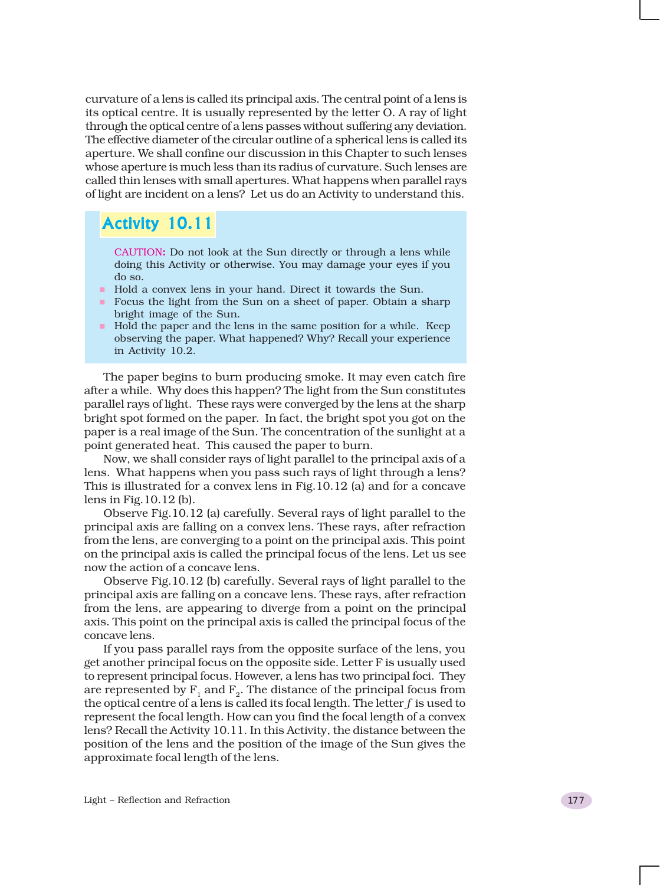curvature of a lens is called its principal axis. The central point of a lens is its optical centre. It is usually represented by the letter O. A ray of light through the optical centre of a lens passes without suffering any deviation. The effective diameter of the circular outline of a spherical lens is called its aperture. We shall confine our discussion in this Chapter to such lenses whose aperture is much less than its radius of curvature. Such lenses are called thin lenses with small apertures. What happens when parallel rays of light are incident on a lens? Let us do an Activity to understand this.

### Activity 10.11

CAUTION**:** Do not look at the Sun directly or through a lens while doing this Activity or otherwise. You may damage your eyes if you do so.

- Hold a convex lens in your hand. Direct it towards the Sun.
- Focus the light from the Sun on a sheet of paper. Obtain a sharp bright image of the Sun.
- $\blacksquare$  Hold the paper and the lens in the same position for a while. Keep observing the paper. What happened? Why? Recall your experience in Activity 10.2.

The paper begins to burn producing smoke. It may even catch fire after a while. Why does this happen? The light from the Sun constitutes parallel rays of light. These rays were converged by the lens at the sharp bright spot formed on the paper. In fact, the bright spot you got on the paper is a real image of the Sun. The concentration of the sunlight at a point generated heat. This caused the paper to burn.

Now, we shall consider rays of light parallel to the principal axis of a lens. What happens when you pass such rays of light through a lens? This is illustrated for a convex lens in Fig.10.12 (a) and for a concave lens in Fig.10.12 (b).

Observe Fig.10.12 (a) carefully. Several rays of light parallel to the principal axis are falling on a convex lens. These rays, after refraction from the lens, are converging to a point on the principal axis. This point on the principal axis is called the principal focus of the lens. Let us see now the action of a concave lens.

Observe Fig.10.12 (b) carefully. Several rays of light parallel to the principal axis are falling on a concave lens. These rays, after refraction from the lens, are appearing to diverge from a point on the principal axis. This point on the principal axis is called the principal focus of the concave lens.

If you pass parallel rays from the opposite surface of the lens, you get another principal focus on the opposite side. Letter F is usually used to represent principal focus. However, a lens has two principal foci. They are represented by  $F_1$  and  $F_2$ . The distance of the principal focus from the optical centre of a lens is called its focal length. The letter *f* is used to represent the focal length. How can you find the focal length of a convex lens? Recall the Activity 10.11. In this Activity, the distance between the position of the lens and the position of the image of the Sun gives the approximate focal length of the lens.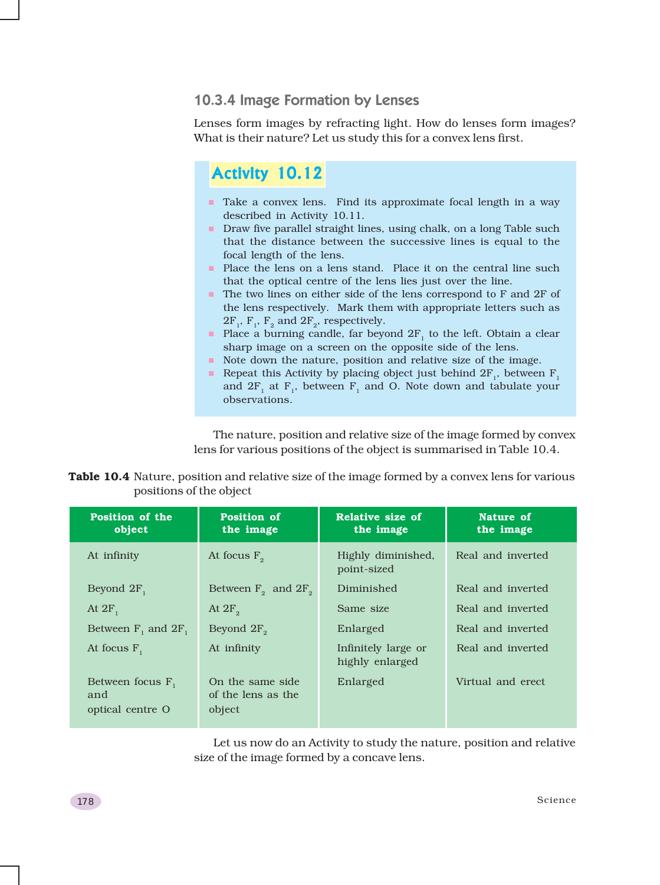### 10.3.4 Image Formation by Lenses

Lenses form images by refracting light. How do lenses form images? What is their nature? Let us study this for a convex lens first.

### Activity 10.12

- Take a convex lens. Find its approximate focal length in a way described in Activity 10.11.
- Draw five parallel straight lines, using chalk, on a long Table such that the distance between the successive lines is equal to the focal length of the lens.
- **Place the lens on a lens stand.** Place it on the central line such that the optical centre of the lens lies just over the line.
- The two lines on either side of the lens correspond to F and 2F of the lens respectively. Mark them with appropriate letters such as  $2F_1$ ,  $F_2$ , and  $2F_2$ , respectively.
- Place a burning candle, far beyond  $2F_1$  to the left. Obtain a clear sharp image on a screen on the opposite side of the lens.
- Note down the nature, position and relative size of the image.
- Repeat this Activity by placing object just behind  $2F_1$ , between  $F_1$ and  $2F_1$  at  $F_1$ , between  $F_1$  and O. Note down and tabulate your observations.

The nature, position and relative size of the image formed by convex lens for various positions of the object is summarised in Table 10.4.

|                         | Table 10.4 Nature, position and relative size of the image formed by a convex lens for various |  |  |
|-------------------------|------------------------------------------------------------------------------------------------|--|--|
| positions of the object |                                                                                                |  |  |

| <b>Position of the</b><br>object               | <b>Position of</b><br>the image                   | Relative size of<br>the image          | Nature of<br>the image |
|------------------------------------------------|---------------------------------------------------|----------------------------------------|------------------------|
| At infinity                                    | At focus $F_{\alpha}$                             | Highly diminished,<br>point-sized      | Real and inverted      |
| Beyond $2F_1$                                  | Between $F_2$ and $2F_2$                          | Diminished                             | Real and inverted      |
| At $2F_{1}$                                    | At $2F_{\circ}$                                   | Same size                              | Real and inverted      |
| Between $F_1$ and $2F_1$                       | Beyond $2F_{\circ}$                               | Enlarged                               | Real and inverted      |
| At focus $F$ ,                                 | At infinity                                       | Infinitely large or<br>highly enlarged | Real and inverted      |
| Between focus $F_1$<br>and<br>optical centre O | On the same side.<br>of the lens as the<br>object | Enlarged                               | Virtual and erect.     |

Let us now do an Activity to study the nature, position and relative size of the image formed by a concave lens.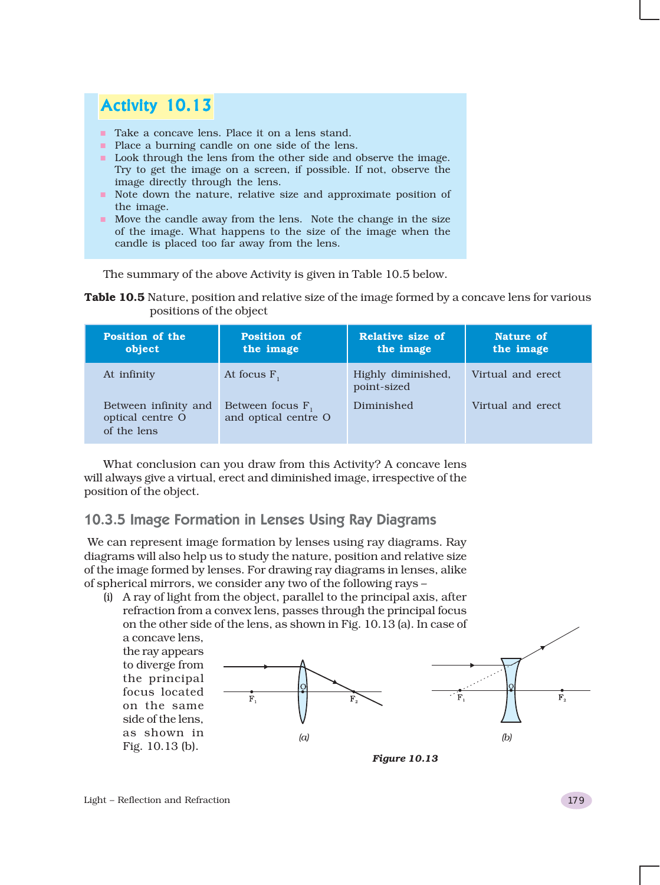## Activity 10.13

- Take a concave lens. Place it on a lens stand.
- **Place a burning candle on one side of the lens.**
- **Look through the lens from the other side and observe the image.** Try to get the image on a screen, if possible. If not, observe the image directly through the lens.
- Note down the nature, relative size and approximate position of the image.
- Move the candle away from the lens. Note the change in the size of the image. What happens to the size of the image when the candle is placed too far away from the lens.

The summary of the above Activity is given in Table 10.5 below.

**Table 10.5** Nature, position and relative size of the image formed by a concave lens for various positions of the object

| <b>Position of the</b><br>object                        | <b>Position of</b><br>the image             | Relative size of<br>the image     | Nature of<br>the image |
|---------------------------------------------------------|---------------------------------------------|-----------------------------------|------------------------|
| At infinity                                             | At focus $F_1$                              | Highly diminished,<br>point-sized | Virtual and erect      |
| Between infinity and<br>optical centre O<br>of the lens | Between focus $F_1$<br>and optical centre O | Diminished                        | Virtual and erect      |

What conclusion can you draw from this Activity? A concave lens will always give a virtual, erect and diminished image, irrespective of the position of the object.

### 10.3.5 Image Formation in Lenses Using Ray Diagrams

We can represent image formation by lenses using ray diagrams. Ray diagrams will also help us to study the nature, position and relative size of the image formed by lenses. For drawing ray diagrams in lenses, alike of spherical mirrors, we consider any two of the following rays –

(i) A ray of light from the object, parallel to the principal axis, after refraction from a convex lens, passes through the principal focus on the other side of the lens, as shown in Fig. 10.13 (a). In case of a concave lens,

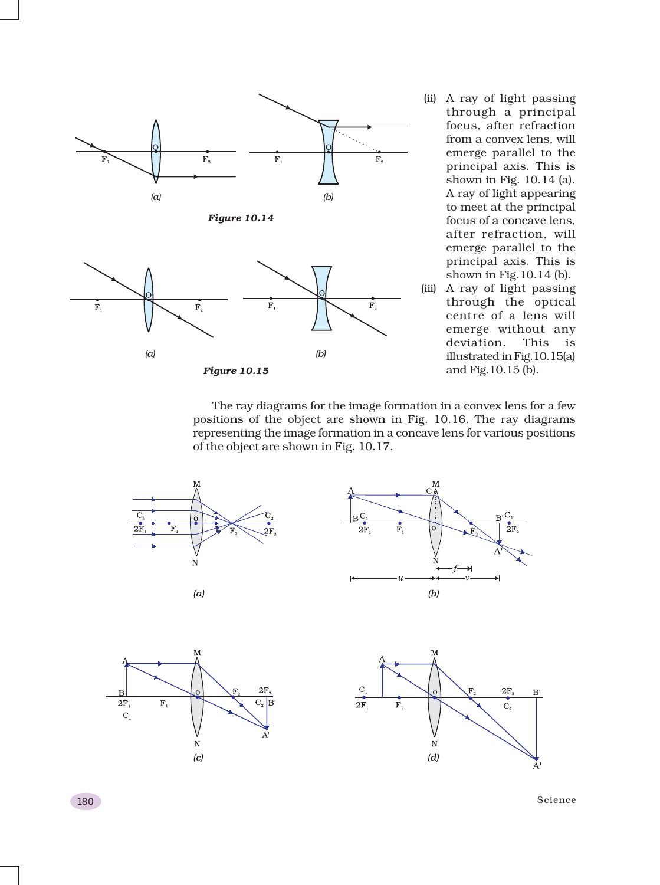

through a principal focus, after refraction from a convex lens, will emerge parallel to the principal axis. This is shown in Fig. 10.14 (a). A ray of light appearing to meet at the principal focus of a concave lens, after refraction, will emerge parallel to the principal axis. This is shown in Fig.10.14 (b).

(iii) A ray of light passing through the optical centre of a lens will emerge without any deviation. This is illustrated in Fig.10.15(a) and Fig.10.15 (b).

The ray diagrams for the image formation in a convex lens for a few positions of the object are shown in Fig. 10.16. The ray diagrams representing the image formation in a concave lens for various positions of the object are shown in Fig. 10.17.



180 Science (September 2008) and the set of the set of the set of the set of the set of the set of the set of the set of the set of the set of the set of the set of the set of the set of the set of the set of the set of th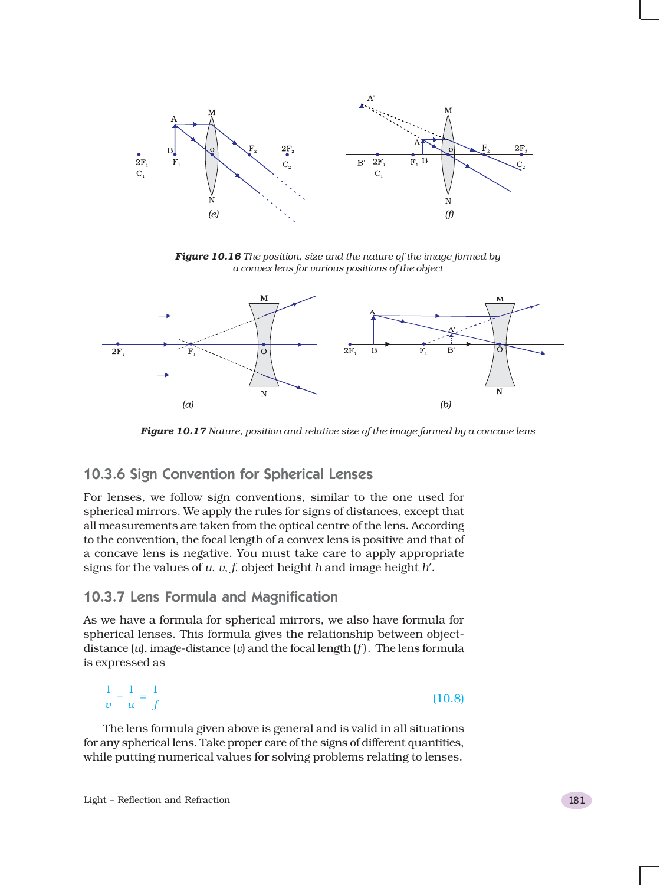

*Figure 10.16 The position, size and the nature of the image formed by a convex lens for various positions of the object*



*Figure 10.17 Nature, position and relative size of the image formed by a concave lens*

### 10.3.6 Sign Convention for Spherical Lenses

For lenses, we follow sign conventions, similar to the one used for spherical mirrors. We apply the rules for signs of distances, except that all measurements are taken from the optical centre of the lens. According to the convention, the focal length of a convex lens is positive and that of a concave lens is negative. You must take care to apply appropriate signs for the values of *u*, *v*, *f*, object height *h* and image height *h*′.

### 10.3.7 Lens Formula and Magnification

As we have a formula for spherical mirrors, we also have formula for spherical lenses. This formula gives the relationship between objectdistance (*u*), image-distance (*v*) and the focal length (*f* ). The lens formula is expressed as

$$
\frac{1}{v} - \frac{1}{u} = \frac{1}{f}
$$
 (10.8)

The lens formula given above is general and is valid in all situations for any spherical lens. Take proper care of the signs of different quantities, while putting numerical values for solving problems relating to lenses.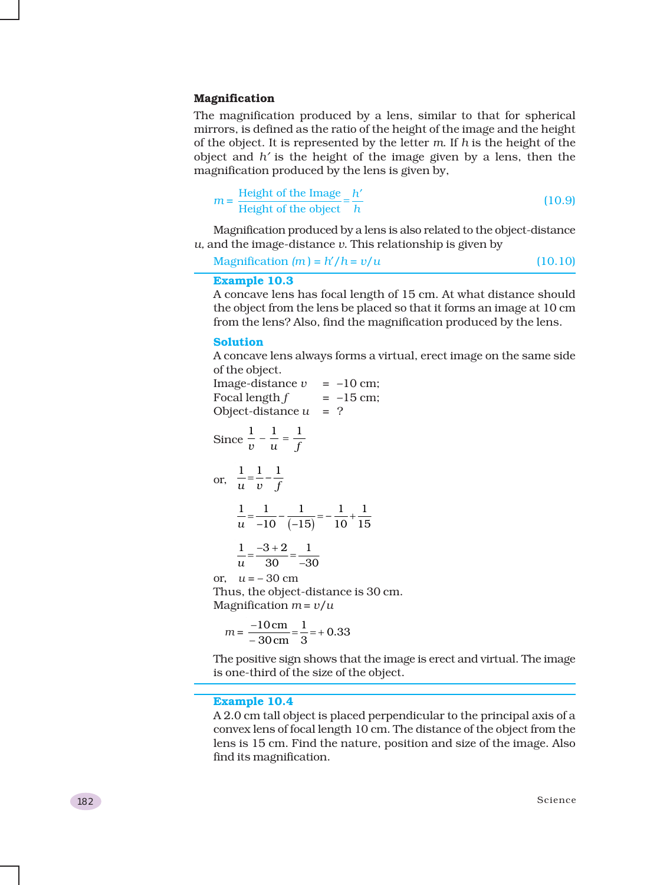#### **Magnification**

The magnification produced by a lens, similar to that for spherical mirrors, is defined as the ratio of the height of the image and the height of the object. It is represented by the letter *m*. If *h* is the height of the object and *h*′ is the height of the image given by a lens, then the magnification produced by the lens is given by,

$$
m = \frac{\text{Height of the Image}}{\text{Height of the object}} = \frac{h'}{h}
$$
 (10.9)

Magnification produced by a lens is also related to the object-distance *u,* and the image-distance *v*. This relationship is given by

 $Magnification (m) = h'/h = v/u$  (10.10)

### **Example 10.3**

A concave lens has focal length of 15 cm. At what distance should the object from the lens be placed so that it forms an image at 10 cm from the lens? Also, find the magnification produced by the lens.

#### **Solution**

A concave lens always forms a virtual, erect image on the same side of the object.

| Image-distance $\nu$<br>Focal length $f$<br>Object-distance u                  | $= -10$ cm;<br>$= -15$ cm;<br>$= ?$ |
|--------------------------------------------------------------------------------|-------------------------------------|
| Since $\frac{1}{v} - \frac{1}{u} = \frac{1}{f}$                                |                                     |
| or, $\frac{1}{u} = \frac{1}{v} - \frac{1}{f}$                                  |                                     |
| $\frac{1}{u} = \frac{1}{-10} - \frac{1}{(-15)} = -\frac{1}{10} + \frac{1}{15}$ |                                     |
| $\frac{1}{u} = \frac{-3+2}{30} = \frac{1}{-30}$                                |                                     |
| or, $u = -30$ cm                                                               |                                     |
| Thus, the object-distance is 30 cm.                                            |                                     |
| Magnification $m = v/u$                                                        |                                     |
|                                                                                |                                     |

$$
m = \frac{-10 \,\text{cm}}{-30 \,\text{cm}} = \frac{1}{3} = +0.33
$$

The positive sign shows that the image is erect and virtual. The image is one-third of the size of the object.

#### **Example 10.4**

A 2.0 cm tall object is placed perpendicular to the principal axis of a convex lens of focal length 10 cm. The distance of the object from the lens is 15 cm. Find the nature, position and size of the image. Also find its magnification.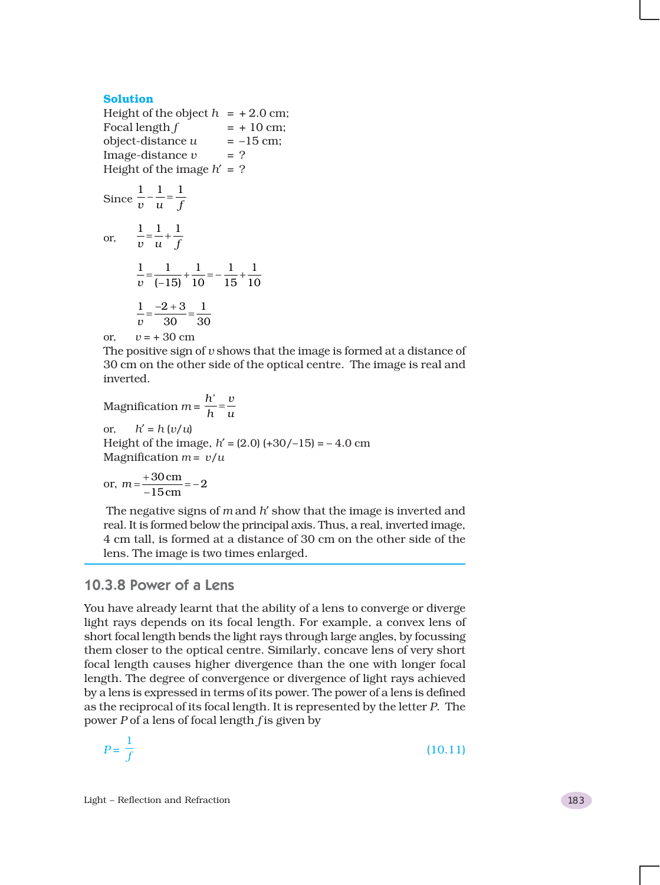#### **Solution**

Height of the object  $h = +2.0$  cm; Focal length  $f = +10$  cm;  $object\text{-distance } u = -15 \text{ cm}$  $Image-distance v = ?$ Height of the image  $h' = ?$ Since  $\frac{1}{v} - \frac{1}{u} = \frac{1}{f}$ or,  $1 \quad 1 \quad 1$ *vu f*  $=$  $\frac{1}{-}$  $+$  $1 \quad 1 \quad 1 \quad 1 \quad 1$  $\frac{1}{v} = \frac{1}{(-15)} + \frac{1}{10} = -\frac{1}{15} + \frac{1}{10}$  $1 -2 +3 1$ *v* 30 30  $=\frac{-2+3}{2}$ or,  $v = +30$  cm

The positive sign of *v* shows that the image is formed at a distance of 30 cm on the other side of the optical centre. The image is real and inverted.

Magnification  $m = \frac{h'}{h} = \frac{v}{u}$ or,  $h' = h(v/u)$ Height of the image,  $h' = (2.0) (+30/-15) = -4.0$  cm Magnification  $m = v/u$ 

or, 
$$
m = \frac{+30 \text{ cm}}{-15 \text{ cm}} = -2
$$

The negative signs of *m* and *h*′ show that the image is inverted and real. It is formed below the principal axis. Thus, a real, inverted image, 4 cm tall, is formed at a distance of 30 cm on the other side of the lens. The image is two times enlarged.

### 10.3.8 Power of a Lens

You have already learnt that the ability of a lens to converge or diverge light rays depends on its focal length. For example, a convex lens of short focal length bends the light rays through large angles, by focussing them closer to the optical centre. Similarly, concave lens of very short focal length causes higher divergence than the one with longer focal length. The degree of convergence or divergence of light rays achieved by a lens is expressed in terms of its power. The power of a lens is defined as the reciprocal of its focal length. It is represented by the letter *P*. The power *P* of a lens of focal length *f* is given by

$$
P = \frac{1}{f} \tag{10.11}
$$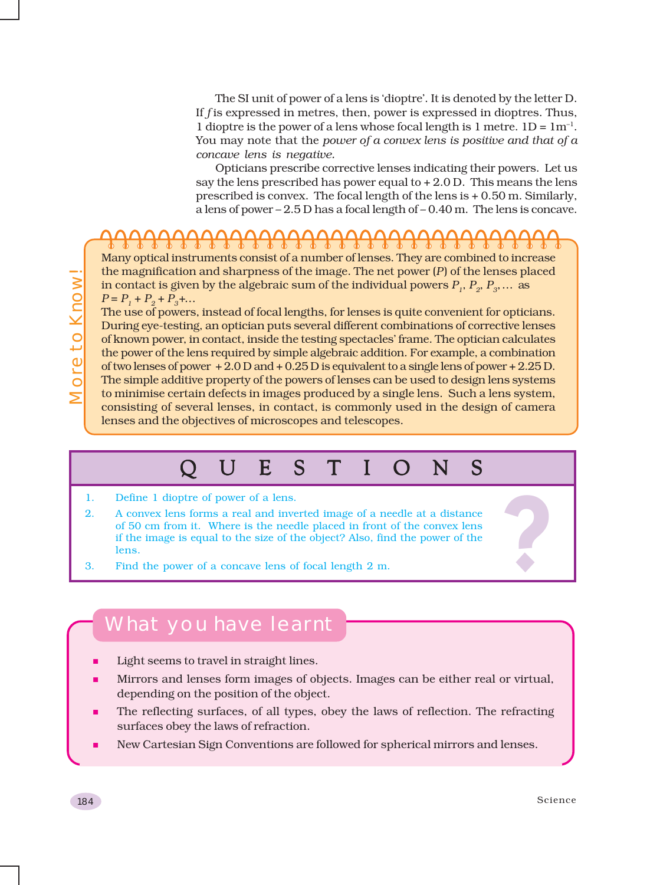The SI unit of power of a lens is 'dioptre'. It is denoted by the letter D. If *f* is expressed in metres, then, power is expressed in dioptres. Thus, 1 dioptre is the power of a lens whose focal length is 1 metre.  $1D = 1m^{-1}$ . You may note that the *power of a convex lens is positive and that of a concave lens is negative.*

Opticians prescribe corrective lenses indicating their powers. Let us say the lens prescribed has power equal to  $+2.0$  D. This means the lens prescribed is convex. The focal length of the lens is + 0.50 m. Similarly, a lens of power – 2.5 D has a focal length of – 0.40 m. The lens is concave.

Many optical instruments consist of a number of lenses. They are combined to increase the magnification and sharpness of the image. The net power (*P*) of the lenses placed in contact is given by the algebraic sum of the individual powers  $P_1$ ,  $P_2$ ,  $P_3$ , ... as  $P = P_1 + P_2 + P_3 + ...$ 

The use of powers, instead of focal lengths, for lenses is quite convenient for opticians. During eye-testing, an optician puts several different combinations of corrective lenses of known power, in contact, inside the testing spectacles' frame. The optician calculates the power of the lens required by simple algebraic addition. For example, a combination of two lenses of power + 2.0 D and + 0.25 D is equivalent to a single lens of power + 2.25 D. The simple additive property of the powers of lenses can be used to design lens systems to minimise certain defects in images produced by a single lens. Such a lens system, consisting of several lenses, in contact, is commonly used in the design of camera lenses and the objectives of microscopes and telescopes.

# QUESTIONS QUESTIONS

- 2. Define 1 dioptre of power of a lens.<br>
2. A convex lens forms a real and inverted image of a needle at a distance<br>
of 50 cm from it. Where is the needle placed in front of the convex lens<br>
if the image is equal to the si 2. A convex lens forms a real and inverted image of a needle at a distance of 50 cm from it. Where is the needle placed in front of the convex lens if the image is equal to the size of the object? Also, find the power of the lens.
- 3. Find the power of a concave lens of focal length 2 m.

# What you have learnt

- Light seems to travel in straight lines.
- Mirrors and lenses form images of objects. Images can be either real or virtual, depending on the position of the object.
- The reflecting surfaces, of all types, obey the laws of reflection. The refracting surfaces obey the laws of refraction.
- New Cartesian Sign Conventions are followed for spherical mirrors and lenses.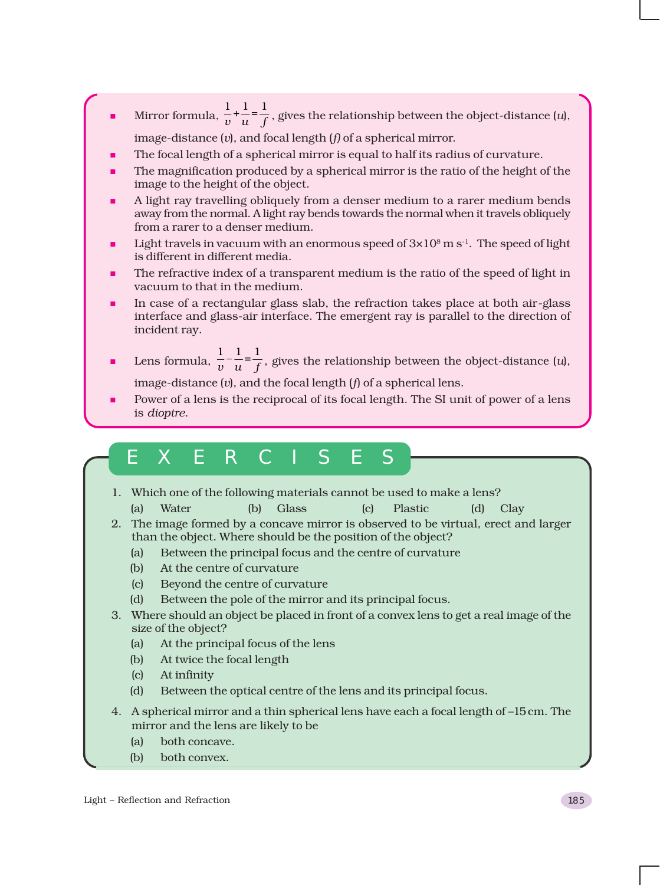- **Mirror formula,**  $\frac{1}{v} + \frac{1}{u} = \frac{1}{f}$ , gives the relationship between the object-distance (*u*), image-distance (*v*), and focal length (*f)* of a spherical mirror.
- The focal length of a spherical mirror is equal to half its radius of curvature.
- The magnification produced by a spherical mirror is the ratio of the height of the image to the height of the object.
- A light ray travelling obliquely from a denser medium to a rarer medium bends away from the normal. A light ray bends towards the normal when it travels obliquely from a rarer to a denser medium.
- Light travels in vacuum with an enormous speed of  $3\times10^8$  m s<sup>-1</sup>. The speed of light is different in different media.
- The refractive index of a transparent medium is the ratio of the speed of light in vacuum to that in the medium.
- In case of a rectangular glass slab, the refraction takes place at both air-glass interface and glass-air interface. The emergent ray is parallel to the direction of incident ray.
- **Lens formula,**  $\frac{1}{v} \frac{1}{u} = \frac{1}{f}$ , gives the relationship between the object-distance (*u*),

image-distance (*v*), and the focal length (*f*) of a spherical lens.

 Power of a lens is the reciprocal of its focal length. The SI unit of power of a lens is *dioptre*.

# EXERCISES

- 1. Which one of the following materials cannot be used to make a lens?
	- (a) Water (b) Glass (c) Plastic (d) Clay
- 2. The image formed by a concave mirror is observed to be virtual, erect and larger than the object. Where should be the position of the object?
	- (a) Between the principal focus and the centre of curvature
	- (b) At the centre of curvature
	- (c) Beyond the centre of curvature
	- (d) Between the pole of the mirror and its principal focus.
- 3. Where should an object be placed in front of a convex lens to get a real image of the size of the object?
	- (a) At the principal focus of the lens
	- (b) At twice the focal length
	- (c) At infinity
	- (d) Between the optical centre of the lens and its principal focus.
- 4. A spherical mirror and a thin spherical lens have each a focal length of –15 cm. The mirror and the lens are likely to be
	- (a) both concave.
	- (b) both convex.